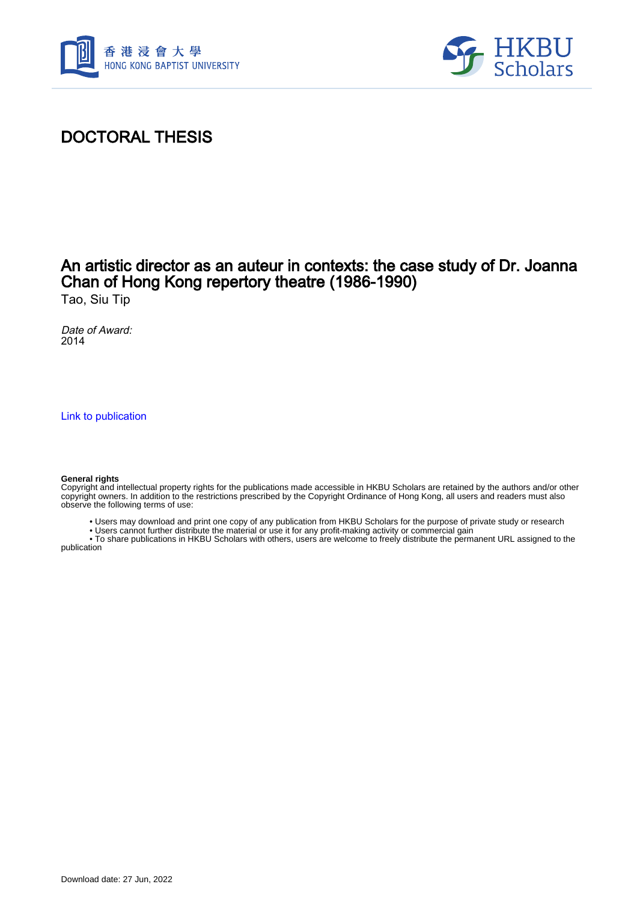



# DOCTORAL THESIS

## An artistic director as an auteur in contexts: the case study of Dr. Joanna Chan of Hong Kong repertory theatre (1986-1990)

Tao, Siu Tip

Date of Award: 2014

[Link to publication](https://scholars.hkbu.edu.hk/en/studentTheses/b024e6de-3dbc-45bc-8666-f7a6ab0860a4)

#### **General rights**

Copyright and intellectual property rights for the publications made accessible in HKBU Scholars are retained by the authors and/or other copyright owners. In addition to the restrictions prescribed by the Copyright Ordinance of Hong Kong, all users and readers must also observe the following terms of use:

• Users may download and print one copy of any publication from HKBU Scholars for the purpose of private study or research

• Users cannot further distribute the material or use it for any profit-making activity or commercial gain

 • To share publications in HKBU Scholars with others, users are welcome to freely distribute the permanent URL assigned to the publication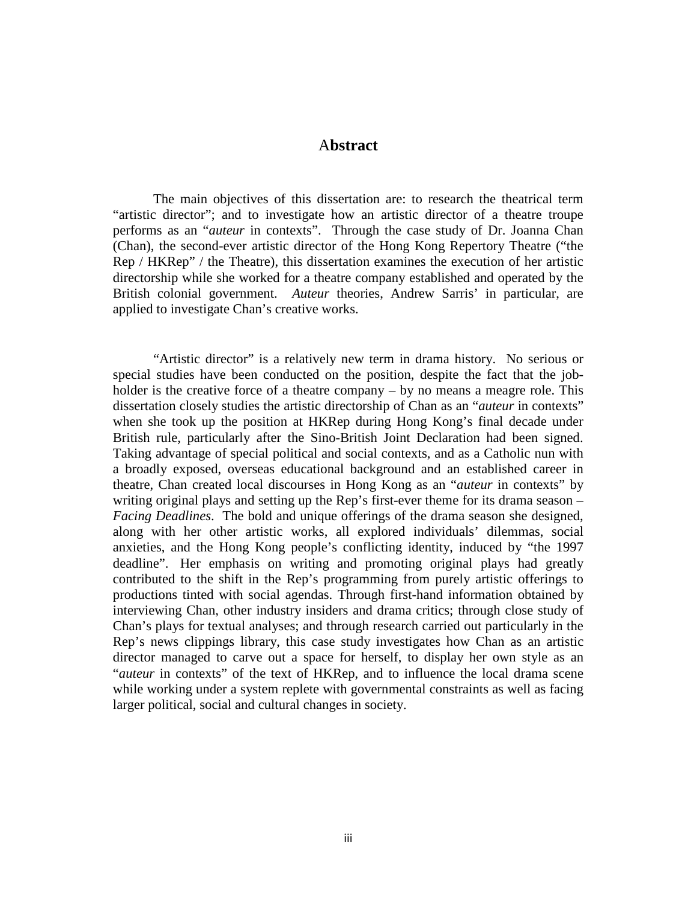### A**bstract**

The main objectives of this dissertation are: to research the theatrical term "artistic director"; and to investigate how an artistic director of a theatre troupe performs as an "*auteur* in contexts". Through the case study of Dr. Joanna Chan (Chan), the second-ever artistic director of the Hong Kong Repertory Theatre ("the Rep / HKRep" / the Theatre), this dissertation examines the execution of her artistic directorship while she worked for a theatre company established and operated by the British colonial government. *Auteur* theories, Andrew Sarris' in particular, are applied to investigate Chan's creative works.

"Artistic director" is a relatively new term in drama history. No serious or special studies have been conducted on the position, despite the fact that the jobholder is the creative force of a theatre company – by no means a meagre role. This dissertation closely studies the artistic directorship of Chan as an "*auteur* in contexts" when she took up the position at HKRep during Hong Kong's final decade under British rule, particularly after the Sino-British Joint Declaration had been signed. Taking advantage of special political and social contexts, and as a Catholic nun with a broadly exposed, overseas educational background and an established career in theatre, Chan created local discourses in Hong Kong as an "*auteur* in contexts" by writing original plays and setting up the Rep's first-ever theme for its drama season – *Facing Deadlines*. The bold and unique offerings of the drama season she designed, along with her other artistic works, all explored individuals' dilemmas, social anxieties, and the Hong Kong people's conflicting identity, induced by "the 1997 deadline". Her emphasis on writing and promoting original plays had greatly contributed to the shift in the Rep's programming from purely artistic offerings to productions tinted with social agendas. Through first-hand information obtained by interviewing Chan, other industry insiders and drama critics; through close study of Chan's plays for textual analyses; and through research carried out particularly in the Rep's news clippings library, this case study investigates how Chan as an artistic director managed to carve out a space for herself, to display her own style as an "*auteur* in contexts" of the text of HKRep, and to influence the local drama scene while working under a system replete with governmental constraints as well as facing larger political, social and cultural changes in society.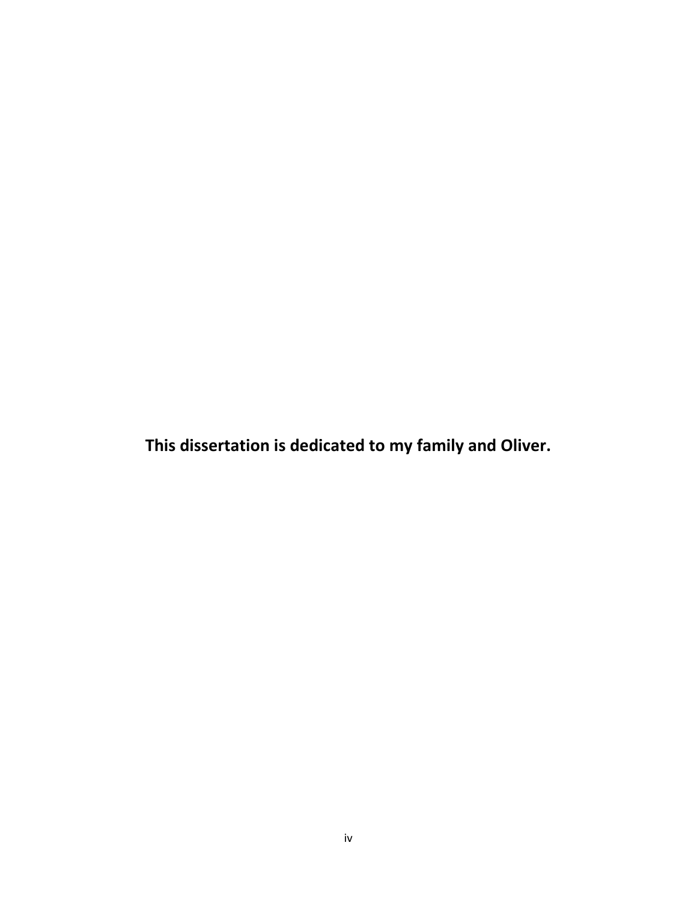**This dissertation is dedicated to my family and Oliver.**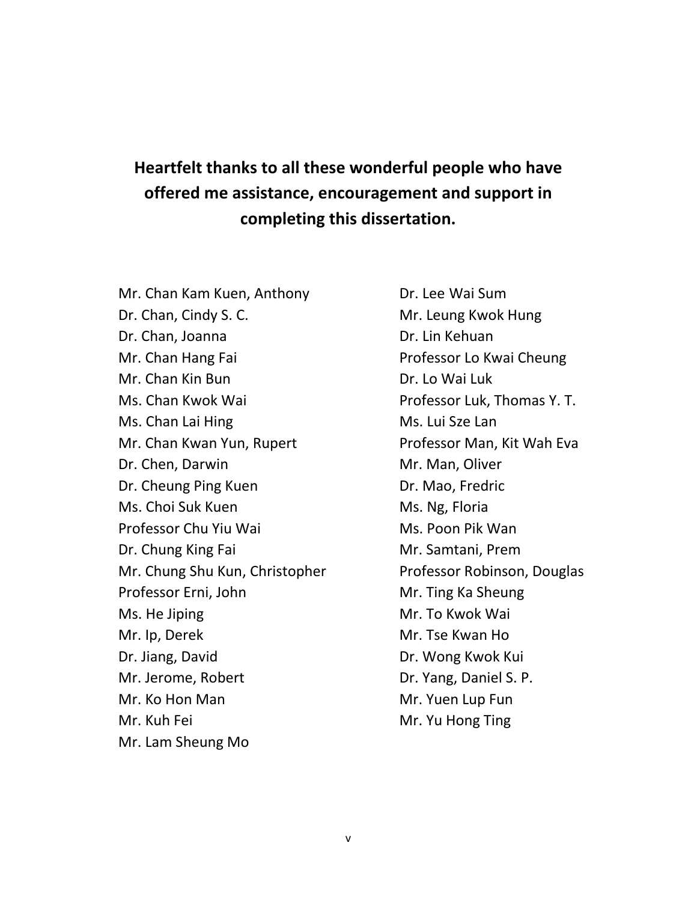# **Heartfelt thanks to all these wonderful people who have offered me assistance, encouragement and support in completing this dissertation.**

Mr. Chan Kam Kuen, Anthony **Dr. Lee Wai Sum** Dr. Chan, Cindy S. C. **Mr. Leung Kwok Hung** Dr. Chan, Joanna **Dr. Lin Kehuan** Mr. Chan Hang Fai **Professor Lo Kwai Cheung** Mr. Chan Kin Bun Dr. Lo Wai Luk Ms. Chan Kwok Wai **Professor Luk, Thomas Y. T.** Ms. Chan Lai Hing Ms. Lui Sze Lan Mr. Chan Kwan Yun, Rupert Professor Man, Kit Wah Eva Dr. Chen, Darwin Mr. Man, Oliver Dr. Cheung Ping Kuen Dr. Mao, Fredric Ms. Choi Suk Kuen Ms. Ng, Floria Professor Chu Yiu Wai Michael Ms. Poon Pik Wan Dr. Chung King Fai **Mr. Samtani**, Prem Mr. Chung Shu Kun, Christopher Professor Robinson, Douglas Professor Erni, John Mr. Ting Ka Sheung Ms. He Jiping Mr. To Kwok Wai Mr. Ip, Derek Mr. Tse Kwan Ho Dr. Jiang, David **Dr. Wong Kwok Kui** Mr. Jerome, Robert **Dr. Yang, Daniel S. P.** Mr. Ko Hon Man Mr. Yuen Lup Fun Mr. Kuh Fei **Mr. Yu Hong Ting** Mr. Lam Sheung Mo